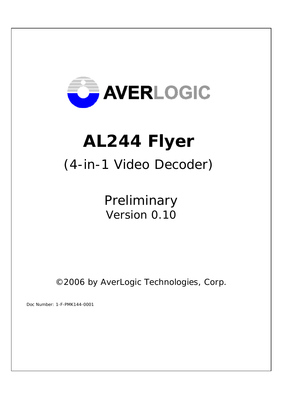

# **AL244 Flyer**

# (4-in-1 Video Decoder)

 Preliminary Version 0.10

©2006 by AverLogic Technologies, Corp.

Doc Number: 1-F-PMK144-0001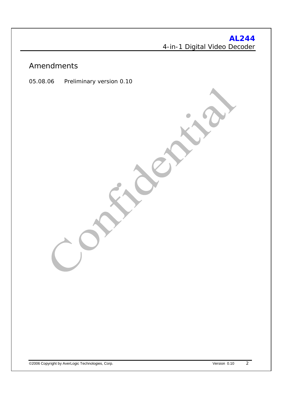#### Amendments

05.08.06 Preliminary version 0.10

©2006 Copyright by AverLogic Technologies, Corp. Version 0.10 2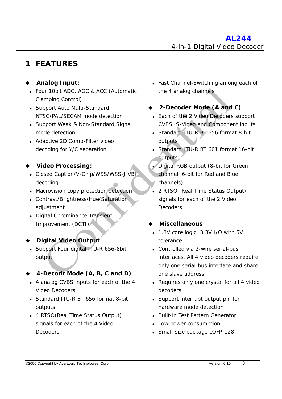# **1 FEATURES**

#### **Analog Input:**

- Four 10bit ADC, AGC & ACC (Automatic Clamping Control)
- Support Auto Multi-Standard NTSC/PAL/SECAM mode detection
- Support Weak & Non-Standard Signal mode detection
- Adaptive 2D Comb-Filter video decoding for Y/C separation
- **Video Processing:** 
	- Closed Caption/V-Chip/WSS/WSS-J VBI decoding
	- Macrovision copy protection detection
	- Contrast/Brightness/Hue/Saturation adjustment
	- Digital Chrominance Transient Improvement (DCTI)
- **Digital Video Output**
- Support Four digital ITU-R 656-8bit output

#### **4-Decodr Mode (A, B, C and D)**

- 4 analog CVBS inputs for each of the 4 Video Decoders
- Standard ITU-R BT 656 format 8-bit outputs
- 4 RTSO(Real Time Status Output) signals for each of the 4 Video Decoders
- Fast Channel-Switching among each of the 4 analog channels
- **2-Decoder Mode (A and C)** 
	- Each of the 2 Video Decoders support CVBS, S-Video and Component inputs
	- Standard ITU-R BT 656 format 8-bit outputs
	- Standard ITU-R BT 601 format 16-bit outputs
	- Digital RGB output (8-bit for Green channel, 6-bit for Red and Blue channels)
	- <sup>z</sup> 2 RTSO (Real Time Status Output) signals for each of the 2 Video Decoders

#### **Miscellaneous**

- 1.8V core logic. 3.3V I/O with 5V tolerance
- Controlled via 2-wire serial-bus interfaces. All 4 video decoders require only one serial-bus interface and share one slave address
- Requires only one crystal for all 4 video decoders
- Support interrupt output pin for hardware mode detection
- Built-in Test Pattern Generator
- Low power consumption
- Small-size package LQFP-128